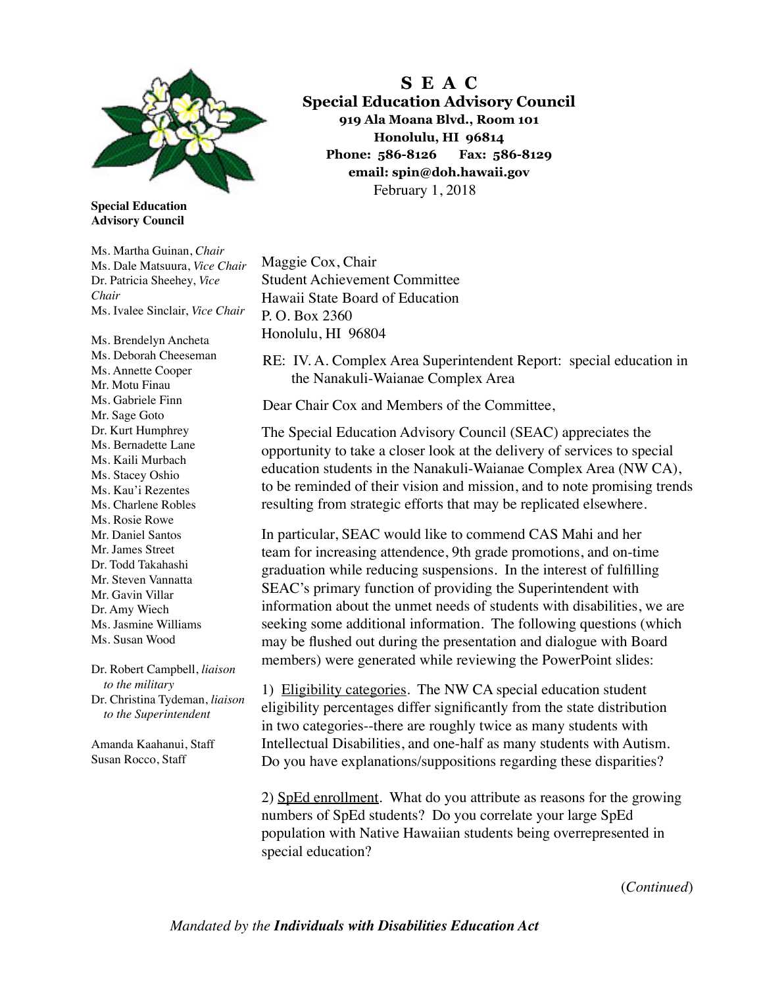

**Special Education Advisory Council** 

Ms. Martha Guinan, *Chair* Ms. Dale Matsuura, *Vice Chair* Dr. Patricia Sheehey, *Vice Chair* Ms. Ivalee Sinclair, *Vice Chair*

Ms. Brendelyn Ancheta Ms. Deborah Cheeseman Ms. Annette Cooper Mr. Motu Finau Ms. Gabriele Finn Mr. Sage Goto Dr. Kurt Humphrey Ms. Bernadette Lane Ms. Kaili Murbach Ms. Stacey Oshio Ms. Kau'i Rezentes Ms. Charlene Robles Ms. Rosie Rowe Mr. Daniel Santos Mr. James Street Dr. Todd Takahashi Mr. Steven Vannatta Mr. Gavin Villar Dr. Amy Wiech Ms. Jasmine Williams Ms. Susan Wood

Dr. Robert Campbell, *liaison to the military* Dr. Christina Tydeman, *liaison to the Superintendent*

Amanda Kaahanui, Staff Susan Rocco, Staff

**S E A C Special Education Advisory Council 919 Ala Moana Blvd., Room 101 Honolulu, HI 96814 Phone: 586-8126 Fax: 586-8129 email: spin@doh.hawaii.gov** February 1, 2018

Maggie Cox, Chair Student Achievement Committee Hawaii State Board of Education P. O. Box 2360 Honolulu, HI 96804

RE: IV. A. Complex Area Superintendent Report: special education in the Nanakuli-Waianae Complex Area

Dear Chair Cox and Members of the Committee,

The Special Education Advisory Council (SEAC) appreciates the opportunity to take a closer look at the delivery of services to special education students in the Nanakuli-Waianae Complex Area (NW CA), to be reminded of their vision and mission, and to note promising trends resulting from strategic efforts that may be replicated elsewhere.

In particular, SEAC would like to commend CAS Mahi and her team for increasing attendence, 9th grade promotions, and on-time graduation while reducing suspensions. In the interest of fulflling SEAC's primary function of providing the Superintendent with information about the unmet needs of students with disabilities, we are seeking some additional information. The following questions (which may be fushed out during the presentation and dialogue with Board members) were generated while reviewing the PowerPoint slides:

1) Eligibility categories. The NW CA special education student eligibility percentages differ signifcantly from the state distribution in two categories--there are roughly twice as many students with Intellectual Disabilities, and one-half as many students with Autism. Do you have explanations/suppositions regarding these disparities?

2) SpEd enrollment. What do you attribute as reasons for the growing numbers of SpEd students? Do you correlate your large SpEd population with Native Hawaiian students being overrepresented in special education?

(*Continued*)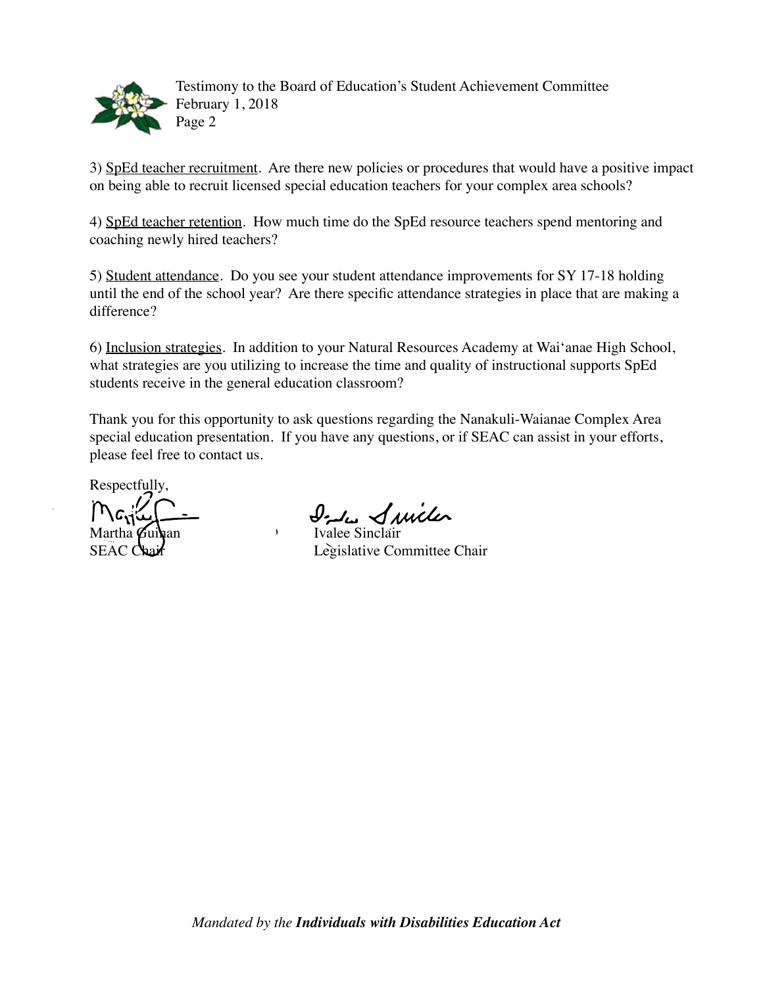

Testimony to the Board of Education's Student Achievement Committee February 1, 2018 Page 2

3) SpEd teacher recruitment. Are there new policies or procedures that would have a positive impact on being able to recruit licensed special education teachers for your complex area schools?

4) SpEd teacher retention. How much time do the SpEd resource teachers spend mentoring and coaching newly hired teachers?

5) Student attendance. Do you see your student attendance improvements for SY 17-18 holding until the end of the school year? Are there specifc attendance strategies in place that are making a difference?

6) Inclusion strategies. In addition to your Natural Resources Academy at Wai'anae High School, what strategies are you utilizing to increase the time and quality of instructional supports SpEd students receive in the general education classroom?

Thank you for this opportunity to ask questions regarding the Nanakuli-Waianae Complex Area special education presentation. If you have any questions, or if SEAC can assist in your efforts, please feel free to contact us.

Respectfully,

 $M_{\rm G1}$  $\frac{1}{2}$   $\frac{1}{2}$   $\frac{1}{2}$   $\frac{1}{2}$   $\frac{1}{2}$   $\frac{1}{2}$   $\frac{1}{2}$   $\frac{1}{2}$   $\frac{1}{2}$   $\frac{1}{2}$   $\frac{1}{2}$   $\frac{1}{2}$   $\frac{1}{2}$   $\frac{1}{2}$   $\frac{1}{2}$   $\frac{1}{2}$   $\frac{1}{2}$   $\frac{1}{2}$   $\frac{1}{2}$   $\frac{1}{2}$   $\frac{1}{2}$   $\$ 

SEAC Chair Legislative Committee Chair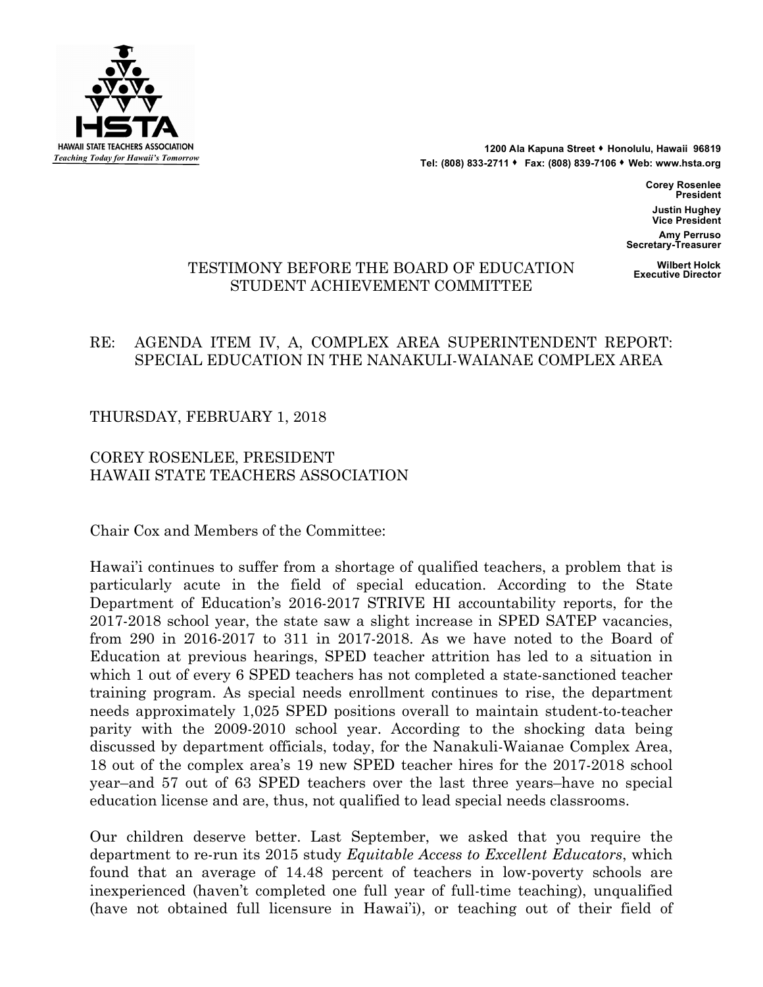

1200 Ala Kapuna Street **\*** Honolulu, Hawaii 96819 **Tel: (808) 833-2711** s **Fax: (808) 839-7106** s **Web: www.hsta.org**

> **Corey Rosenlee President Justin Hughey Vice President**

**Amy Perruso Secretary-Treasurer**

## **Wilbert Holck** TE **Executive Director** STIMONY BEFORE THE BOARD OF EDUCATION STUDENT ACHIEVEMENT COMMITTEE

## RE: AGENDA ITEM IV, A, COMPLEX AREA SUPERINTENDENT REPORT: SPECIAL EDUCATION IN THE NANAKULI-WAIANAE COMPLEX AREA

THURSDAY, FEBRUARY 1, 2018

## COREY ROSENLEE, PRESIDENT HAWAII STATE TEACHERS ASSOCIATION

Chair Cox and Members of the Committee:

Hawai'i continues to suffer from a shortage of qualified teachers, a problem that is particularly acute in the field of special education. According to the State Department of Education's 2016-2017 STRIVE HI accountability reports, for the 2017-2018 school year, the state saw a slight increase in SPED SATEP vacancies, from 290 in 2016-2017 to 311 in 2017-2018. As we have noted to the Board of Education at previous hearings, SPED teacher attrition has led to a situation in which 1 out of every 6 SPED teachers has not completed a state-sanctioned teacher training program. As special needs enrollment continues to rise, the department needs approximately 1,025 SPED positions overall to maintain student-to-teacher parity with the 2009-2010 school year. According to the shocking data being discussed by department officials, today, for the Nanakuli-Waianae Complex Area, 18 out of the complex area's 19 new SPED teacher hires for the 2017-2018 school year–and 57 out of 63 SPED teachers over the last three years–have no special education license and are, thus, not qualified to lead special needs classrooms.

Our children deserve better. Last September, we asked that you require the department to re-run its 2015 study *Equitable Access to Excellent Educators*, which found that an average of 14.48 percent of teachers in low-poverty schools are inexperienced (haven't completed one full year of full-time teaching), unqualified (have not obtained full licensure in Hawai'i), or teaching out of their field of